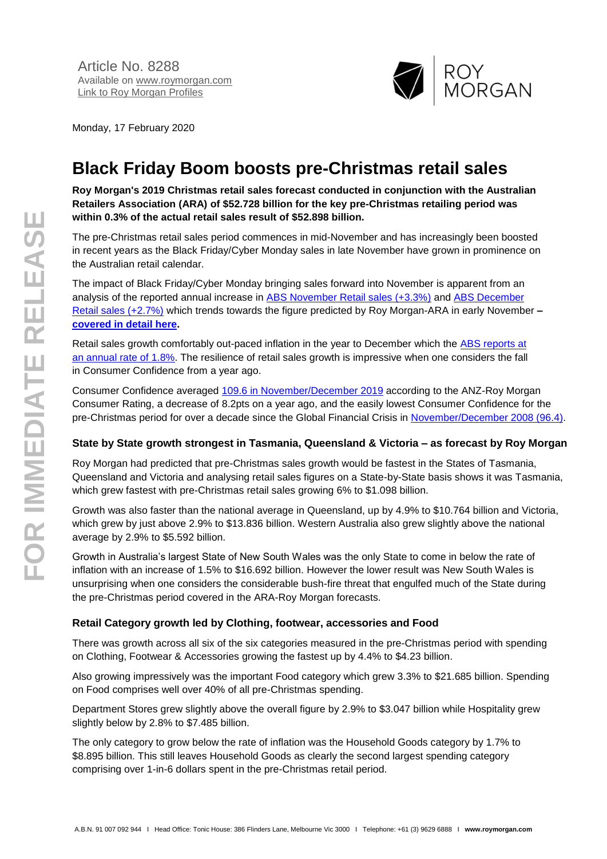

Monday, 17 February 2020

# **Black Friday Boom boosts pre-Christmas retail sales**

**Roy Morgan's 2019 Christmas retail sales forecast conducted in conjunction with the Australian Retailers Association (ARA) of \$52.728 billion for the key pre-Christmas retailing period was within 0.3% of the actual retail sales result of \$52.898 billion.**

The pre-Christmas retail sales period commences in mid-November and has increasingly been boosted in recent years as the Black Friday/Cyber Monday sales in late November have grown in prominence on the Australian retail calendar.

The impact of Black Friday/Cyber Monday bringing sales forward into November is apparent from an analysis of the reported annual increase in [ABS November Retail sales \(+3.3%\)](https://www.abs.gov.au/AUSSTATS/abs@.nsf/DetailsPage/8501.0Nov%202019?OpenDocument) and [ABS December](https://www.abs.gov.au/AUSSTATS/abs@.nsf/DetailsPage/8501.0Dec%202019?OpenDocument)  [Retail sales \(+2.7%\)](https://www.abs.gov.au/AUSSTATS/abs@.nsf/DetailsPage/8501.0Dec%202019?OpenDocument) which trends towards the figure predicted by Roy Morgan-ARA in early November **– [covered in detail here.](http://www.roymorgan.com/findings/8202-roy-morgan-ara-christmas-2019-sales-forecast-201911180354)**

Retail sales growth comfortably out-paced inflation in the year to December which the [ABS reports at](https://www.abs.gov.au/AUSSTATS/abs@.nsf/mf/6401.0?opendocument&ref=HPKI)  [an annual rate of 1.8%.](https://www.abs.gov.au/AUSSTATS/abs@.nsf/mf/6401.0?opendocument&ref=HPKI) The resilience of retail sales growth is impressive when one considers the fall in Consumer Confidence from a year ago.

Consumer Confidence averaged 109.6 [in November/December 2019](http://www.roymorgan.com/morganpoll/consumer-confidence/consumer-monthly-results) according to the ANZ-Roy Morgan Consumer Rating, a decrease of 8.2pts on a year ago, and the easily lowest Consumer Confidence for the pre-Christmas period for over a decade since the Global Financial Crisis in [November/December 2008 \(96.4\).](http://www.roymorgan.com/morganpoll/consumer-confidence/consumer-monthly-results)

#### **State by State growth strongest in Tasmania, Queensland & Victoria – as forecast by Roy Morgan**

Roy Morgan had predicted that pre-Christmas sales growth would be fastest in the States of Tasmania, Queensland and Victoria and analysing retail sales figures on a State-by-State basis shows it was Tasmania, which grew fastest with pre-Christmas retail sales growing 6% to \$1.098 billion.

Growth was also faster than the national average in Queensland, up by 4.9% to \$10.764 billion and Victoria, which grew by just above 2.9% to \$13.836 billion. Western Australia also grew slightly above the national average by 2.9% to \$5.592 billion.

Growth in Australia's largest State of New South Wales was the only State to come in below the rate of inflation with an increase of 1.5% to \$16.692 billion. However the lower result was New South Wales is unsurprising when one considers the considerable bush-fire threat that engulfed much of the State during the pre-Christmas period covered in the ARA-Roy Morgan forecasts.

#### **Retail Category growth led by Clothing, footwear, accessories and Food**

There was growth across all six of the six categories measured in the pre-Christmas period with spending on Clothing, Footwear & Accessories growing the fastest up by 4.4% to \$4.23 billion.

Also growing impressively was the important Food category which grew 3.3% to \$21.685 billion. Spending on Food comprises well over 40% of all pre-Christmas spending.

Department Stores grew slightly above the overall figure by 2.9% to \$3.047 billion while Hospitality grew slightly below by 2.8% to \$7.485 billion.

The only category to grow below the rate of inflation was the Household Goods category by 1.7% to \$8.895 billion. This still leaves Household Goods as clearly the second largest spending category comprising over 1-in-6 dollars spent in the pre-Christmas retail period.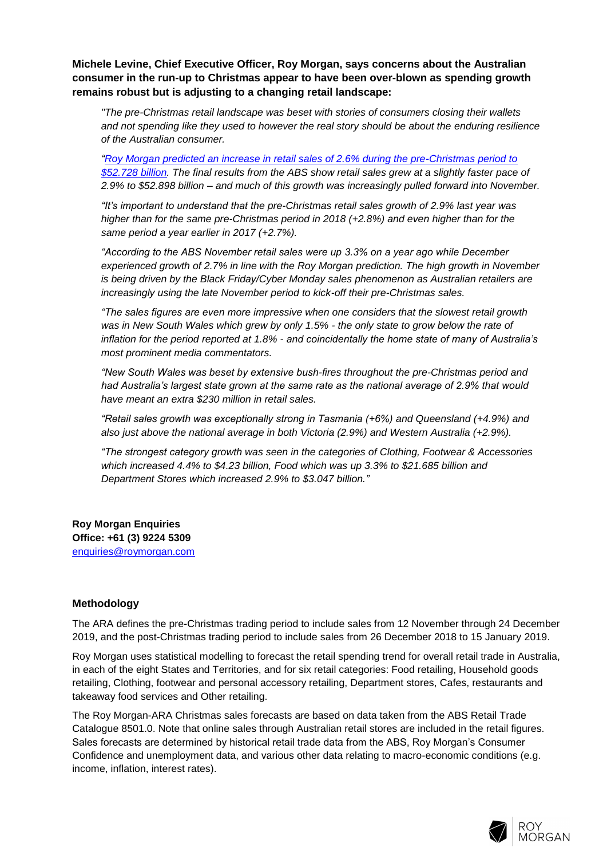**Michele Levine, Chief Executive Officer, Roy Morgan, says concerns about the Australian consumer in the run-up to Christmas appear to have been over-blown as spending growth remains robust but is adjusting to a changing retail landscape:**

*"The pre-Christmas retail landscape was beset with stories of consumers closing their wallets and not spending like they used to however the real story should be about the enduring resilience of the Australian consumer.*

*["Roy Morgan predicted an increase in retail sales of 2.6% during the pre-Christmas period to](http://www.roymorgan.com/findings/8202-roy-morgan-ara-christmas-2019-sales-forecast-201911180354)  [\\$52.728 billion.](http://www.roymorgan.com/findings/8202-roy-morgan-ara-christmas-2019-sales-forecast-201911180354) The final results from the ABS show retail sales grew at a slightly faster pace of 2.9% to \$52.898 billion – and much of this growth was increasingly pulled forward into November.*

*"It's important to understand that the pre-Christmas retail sales growth of 2.9% last year was higher than for the same pre-Christmas period in 2018 (+2.8%) and even higher than for the same period a year earlier in 2017 (+2.7%).*

*"According to the ABS November retail sales were up 3.3% on a year ago while December experienced growth of 2.7% in line with the Roy Morgan prediction. The high growth in November is being driven by the Black Friday/Cyber Monday sales phenomenon as Australian retailers are increasingly using the late November period to kick-off their pre-Christmas sales.*

*"The sales figures are even more impressive when one considers that the slowest retail growth was in New South Wales which grew by only 1.5% - the only state to grow below the rate of inflation for the period reported at 1.8% - and coincidentally the home state of many of Australia's most prominent media commentators.*

*"New South Wales was beset by extensive bush-fires throughout the pre-Christmas period and had Australia's largest state grown at the same rate as the national average of 2.9% that would have meant an extra \$230 million in retail sales.*

*"Retail sales growth was exceptionally strong in Tasmania (+6%) and Queensland (+4.9%) and also just above the national average in both Victoria (2.9%) and Western Australia (+2.9%).*

*"The strongest category growth was seen in the categories of Clothing, Footwear & Accessories which increased 4.4% to \$4.23 billion, Food which was up 3.3% to \$21.685 billion and Department Stores which increased 2.9% to \$3.047 billion."*

**Roy Morgan Enquiries Office: +61 (3) 9224 5309** [enquiries@roymorgan.com](mailto:enquiries@roymorgan.com)

#### **Methodology**

The ARA defines the pre-Christmas trading period to include sales from 12 November through 24 December 2019, and the post-Christmas trading period to include sales from 26 December 2018 to 15 January 2019.

Roy Morgan uses statistical modelling to forecast the retail spending trend for overall retail trade in Australia, in each of the eight States and Territories, and for six retail categories: Food retailing, Household goods retailing, Clothing, footwear and personal accessory retailing, Department stores, Cafes, restaurants and takeaway food services and Other retailing.

The Roy Morgan-ARA Christmas sales forecasts are based on data taken from the ABS Retail Trade Catalogue 8501.0. Note that online sales through Australian retail stores are included in the retail figures. Sales forecasts are determined by historical retail trade data from the ABS, Roy Morgan's Consumer Confidence and unemployment data, and various other data relating to macro-economic conditions (e.g. income, inflation, interest rates).